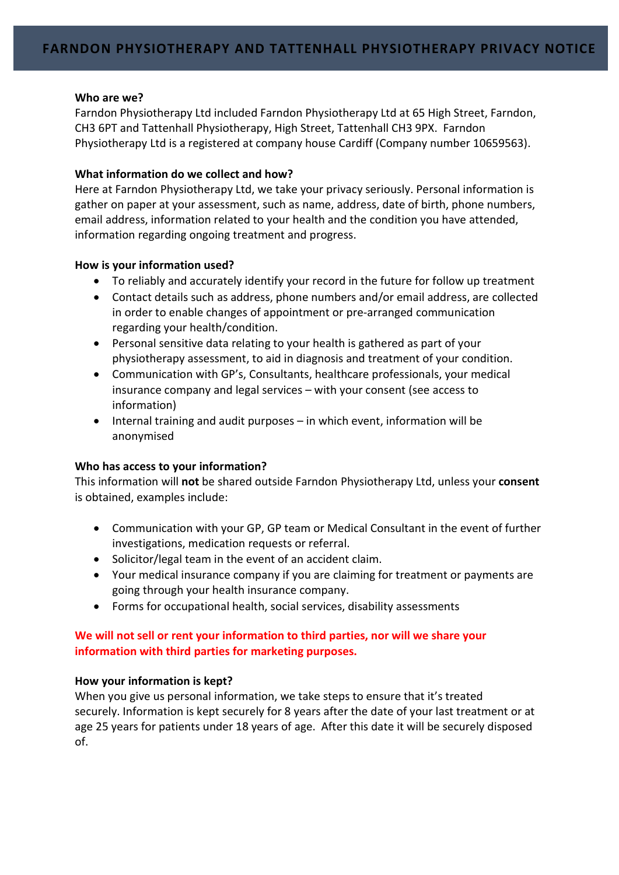### Who are we?

Farndon Physiotherapy Ltd included Farndon Physiotherapy Ltd at 65 High Street, Farndon, CH3 6PT and Tattenhall Physiotherapy, High Street, Tattenhall CH3 9PX. Farndon Physiotherapy Ltd is a registered at company house Cardiff (Company number 10659563).

# What information do we collect and how?

Here at Farndon Physiotherapy Ltd, we take your privacy seriously. Personal information is gather on paper at your assessment, such as name, address, date of birth, phone numbers, email address, information related to your health and the condition you have attended, information regarding ongoing treatment and progress.

# How is your information used?

- To reliably and accurately identify your record in the future for follow up treatment
- Contact details such as address, phone numbers and/or email address, are collected in order to enable changes of appointment or pre-arranged communication regarding your health/condition.
- Personal sensitive data relating to your health is gathered as part of your physiotherapy assessment, to aid in diagnosis and treatment of your condition.
- Communication with GP's, Consultants, healthcare professionals, your medical insurance company and legal services – with your consent (see access to information)
- Internal training and audit purposes in which event, information will be anonymised

# Who has access to your information?

This information will not be shared outside Farndon Physiotherapy Ltd, unless your consent is obtained, examples include:

- Communication with your GP, GP team or Medical Consultant in the event of further investigations, medication requests or referral.
- Solicitor/legal team in the event of an accident claim.
- Your medical insurance company if you are claiming for treatment or payments are going through your health insurance company.
- Forms for occupational health, social services, disability assessments

# We will not sell or rent your information to third parties, nor will we share your information with third parties for marketing purposes.

# How your information is kept?

When you give us personal information, we take steps to ensure that it's treated securely. Information is kept securely for 8 years after the date of your last treatment or at age 25 years for patients under 18 years of age. After this date it will be securely disposed of.